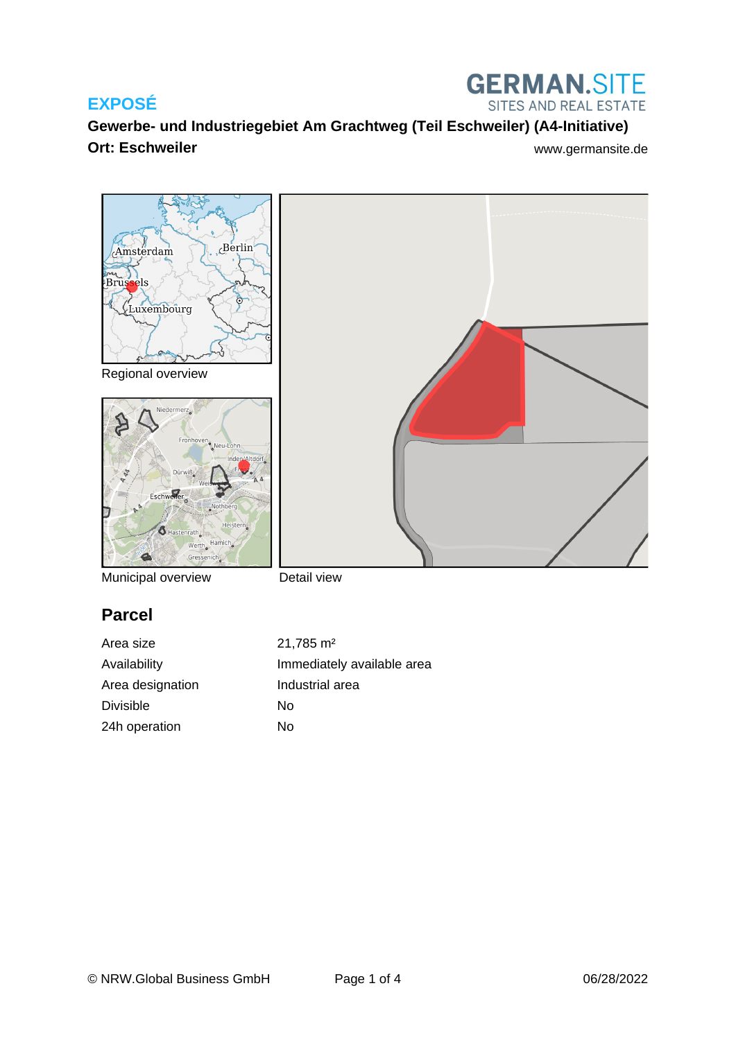

**Gewerbe- und Industriegebiet Am Grachtweg (Teil Eschweiler) (A4-Initiative) Ort: Eschweiler** Williams and The Williams and Williams and Williams and Williams and Williams and Williams and Williams and Williams and Williams and Williams and Williams and Williams and Williams and Williams and Willi



Municipal overview

Detail view

# **Parcel**

Area size 21,785 m<sup>2</sup> Area designation **Industrial area** Divisible No 24h operation No

Availability **Immediately** available area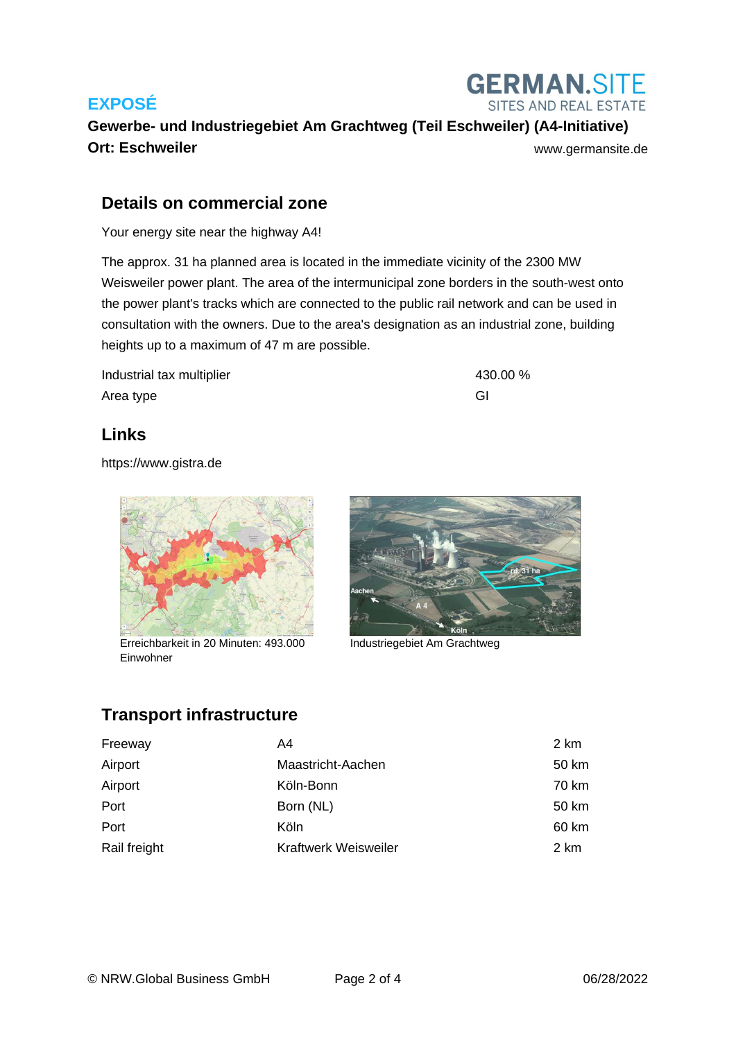

**Gewerbe- und Industriegebiet Am Grachtweg (Teil Eschweiler) (A4-Initiative) Ort: Eschweiler With an architecture [www.germansite.de](http://www.germansite.de)** www.germansite.de

#### **Details on commercial zone**

Your energy site near the highway A4!

The approx. 31 ha planned area is located in the immediate vicinity of the 2300 MW Weisweiler power plant. The area of the intermunicipal zone borders in the south-west onto the power plant's tracks which are connected to the public rail network and can be used in consultation with the owners. Due to the area's designation as an industrial zone, building heights up to a maximum of 47 m are possible.

Industrial tax multiplier 430.00 % Area type GI

#### **Links**

<https://www.gistra.de>



Erreichbarkeit in 20 Minuten: 493.000 Industriegebiet Am Grachtweg Einwohner



#### **Transport infrastructure**

| Freeway      | A4                          | 2 km  |
|--------------|-----------------------------|-------|
| Airport      | Maastricht-Aachen           | 50 km |
| Airport      | Köln-Bonn                   | 70 km |
| Port         | Born (NL)                   | 50 km |
| Port         | Köln                        | 60 km |
| Rail freight | <b>Kraftwerk Weisweiler</b> | 2 km  |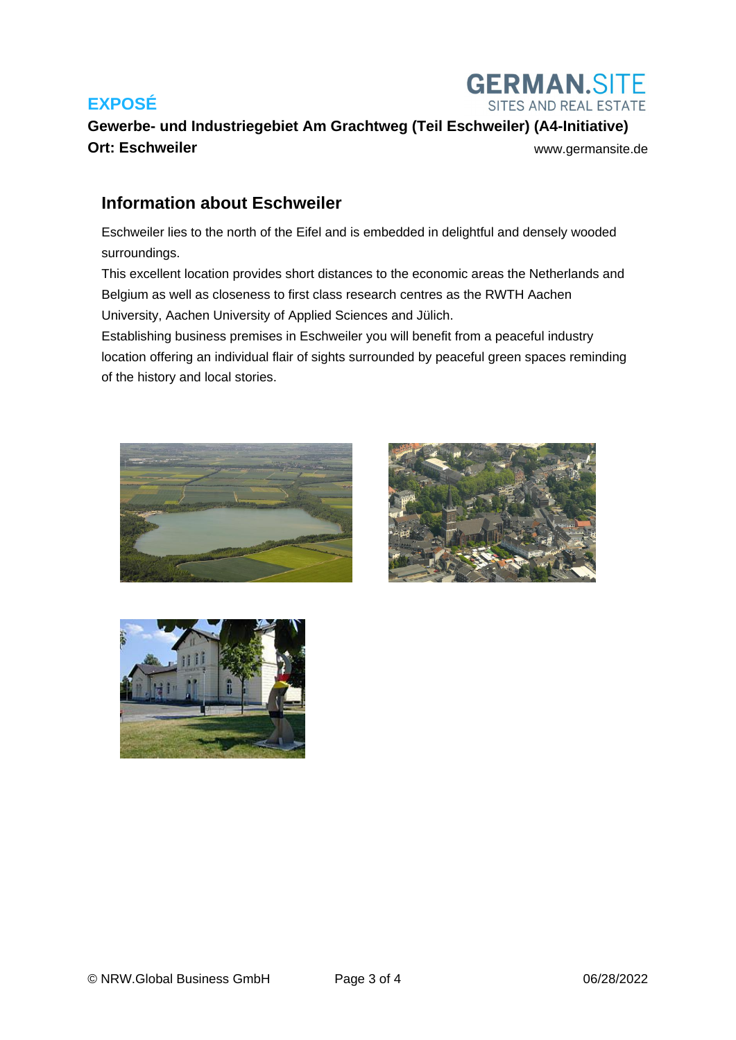

# **Gewerbe- und Industriegebiet Am Grachtweg (Teil Eschweiler) (A4-Initiative) Ort: Eschweiler With an architecture [www.germansite.de](http://www.germansite.de)**

#### **Information about Eschweiler**

Eschweiler lies to the north of the Eifel and is embedded in delightful and densely wooded surroundings.

This excellent location provides short distances to the economic areas the Netherlands and Belgium as well as closeness to first class research centres as the RWTH Aachen University, Aachen University of Applied Sciences and Jülich.

Establishing business premises in Eschweiler you will benefit from a peaceful industry location offering an individual flair of sights surrounded by peaceful green spaces reminding of the history and local stories.